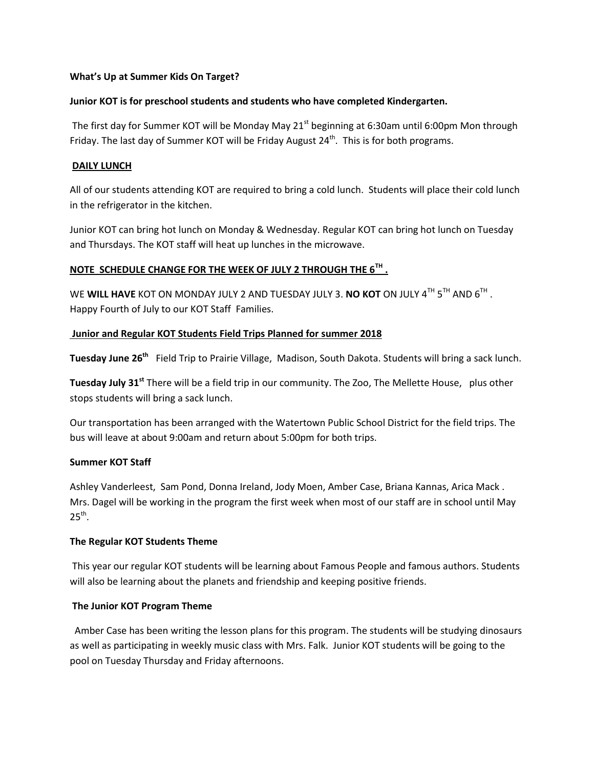#### **What's Up at Summer Kids On Target?**

#### **Junior KOT is for preschool students and students who have completed Kindergarten.**

The first day for Summer KOT will be Monday May 21<sup>st</sup> beginning at 6:30am until 6:00pm Mon through Friday. The last day of Summer KOT will be Friday August 24<sup>th</sup>. This is for both programs.

#### **DAILY LUNCH**

All of our students attending KOT are required to bring a cold lunch. Students will place their cold lunch in the refrigerator in the kitchen.

Junior KOT can bring hot lunch on Monday & Wednesday. Regular KOT can bring hot lunch on Tuesday and Thursdays. The KOT staff will heat up lunches in the microwave.

## **NOTE SCHEDULE CHANGE FOR THE WEEK OF JULY 2 THROUGH THE 6TH .**

WE **WILL HAVE** KOT ON MONDAY JULY 2 AND TUESDAY JULY 3. **NO KOT** ON JULY 4<sup>TH</sup> 5<sup>TH</sup> AND 6<sup>TH</sup> . Happy Fourth of July to our KOT Staff Families.

## **Junior and Regular KOT Students Field Trips Planned for summer 2018**

**Tuesday June 26th** Field Trip to Prairie Village, Madison, South Dakota. Students will bring a sack lunch.

**Tuesday July 31st** There will be a field trip in our community. The Zoo, The Mellette House, plus other stops students will bring a sack lunch.

Our transportation has been arranged with the Watertown Public School District for the field trips. The bus will leave at about 9:00am and return about 5:00pm for both trips.

## **Summer KOT Staff**

Ashley Vanderleest, Sam Pond, Donna Ireland, Jody Moen, Amber Case, Briana Kannas, Arica Mack . Mrs. Dagel will be working in the program the first week when most of our staff are in school until May  $25<sup>th</sup>$ .

## **The Regular KOT Students Theme**

This year our regular KOT students will be learning about Famous People and famous authors. Students will also be learning about the planets and friendship and keeping positive friends.

## **The Junior KOT Program Theme**

 Amber Case has been writing the lesson plans for this program. The students will be studying dinosaurs as well as participating in weekly music class with Mrs. Falk. Junior KOT students will be going to the pool on Tuesday Thursday and Friday afternoons.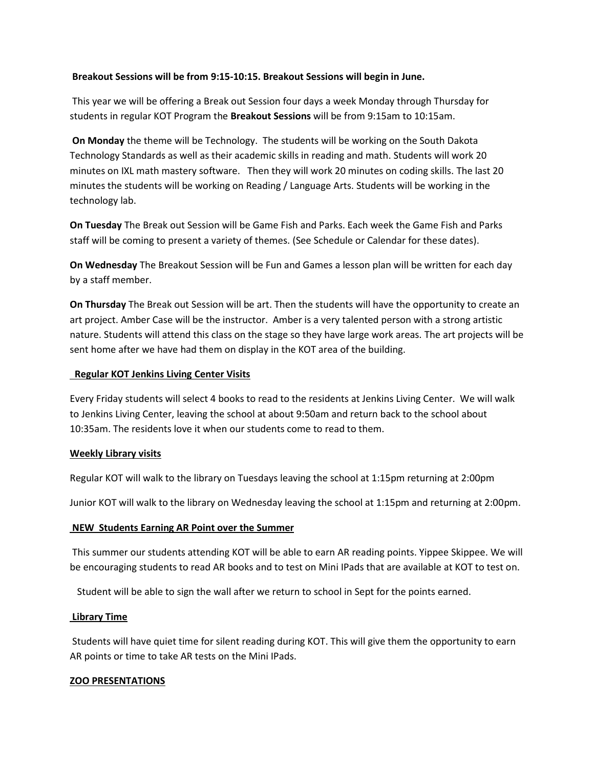#### **Breakout Sessions will be from 9:15-10:15. Breakout Sessions will begin in June.**

This year we will be offering a Break out Session four days a week Monday through Thursday for students in regular KOT Program the **Breakout Sessions** will be from 9:15am to 10:15am.

**On Monday** the theme will be Technology. The students will be working on the South Dakota Technology Standards as well as their academic skills in reading and math. Students will work 20 minutes on IXL math mastery software. Then they will work 20 minutes on coding skills. The last 20 minutes the students will be working on Reading / Language Arts. Students will be working in the technology lab.

**On Tuesday** The Break out Session will be Game Fish and Parks. Each week the Game Fish and Parks staff will be coming to present a variety of themes. (See Schedule or Calendar for these dates).

**On Wednesday** The Breakout Session will be Fun and Games a lesson plan will be written for each day by a staff member.

**On Thursday** The Break out Session will be art. Then the students will have the opportunity to create an art project. Amber Case will be the instructor. Amber is a very talented person with a strong artistic nature. Students will attend this class on the stage so they have large work areas. The art projects will be sent home after we have had them on display in the KOT area of the building.

#### **Regular KOT Jenkins Living Center Visits**

Every Friday students will select 4 books to read to the residents at Jenkins Living Center. We will walk to Jenkins Living Center, leaving the school at about 9:50am and return back to the school about 10:35am. The residents love it when our students come to read to them.

## **Weekly Library visits**

Regular KOT will walk to the library on Tuesdays leaving the school at 1:15pm returning at 2:00pm

Junior KOT will walk to the library on Wednesday leaving the school at 1:15pm and returning at 2:00pm.

## **NEW Students Earning AR Point over the Summer**

This summer our students attending KOT will be able to earn AR reading points. Yippee Skippee. We will be encouraging students to read AR books and to test on Mini IPads that are available at KOT to test on.

Student will be able to sign the wall after we return to school in Sept for the points earned.

## **Library Time**

Students will have quiet time for silent reading during KOT. This will give them the opportunity to earn AR points or time to take AR tests on the Mini IPads.

## **ZOO PRESENTATIONS**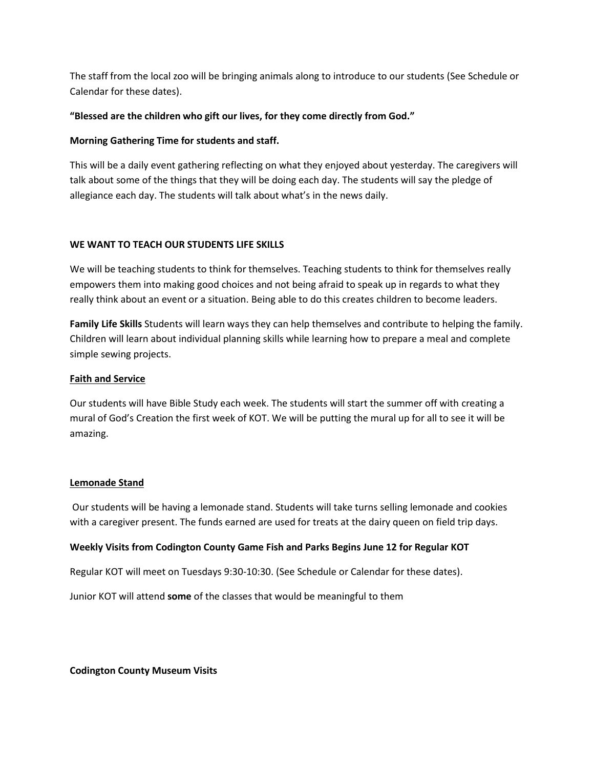The staff from the local zoo will be bringing animals along to introduce to our students (See Schedule or Calendar for these dates).

## **"Blessed are the children who gift our lives, for they come directly from God."**

## **Morning Gathering Time for students and staff.**

This will be a daily event gathering reflecting on what they enjoyed about yesterday. The caregivers will talk about some of the things that they will be doing each day. The students will say the pledge of allegiance each day. The students will talk about what's in the news daily.

## **WE WANT TO TEACH OUR STUDENTS LIFE SKILLS**

We will be teaching students to think for themselves. Teaching students to think for themselves really empowers them into making good choices and not being afraid to speak up in regards to what they really think about an event or a situation. Being able to do this creates children to become leaders.

**Family Life Skills** Students will learn ways they can help themselves and contribute to helping the family. Children will learn about individual planning skills while learning how to prepare a meal and complete simple sewing projects.

## **Faith and Service**

Our students will have Bible Study each week. The students will start the summer off with creating a mural of God's Creation the first week of KOT. We will be putting the mural up for all to see it will be amazing.

## **Lemonade Stand**

Our students will be having a lemonade stand. Students will take turns selling lemonade and cookies with a caregiver present. The funds earned are used for treats at the dairy queen on field trip days.

## **Weekly Visits from Codington County Game Fish and Parks Begins June 12 for Regular KOT**

Regular KOT will meet on Tuesdays 9:30-10:30. (See Schedule or Calendar for these dates).

Junior KOT will attend **some** of the classes that would be meaningful to them

**Codington County Museum Visits**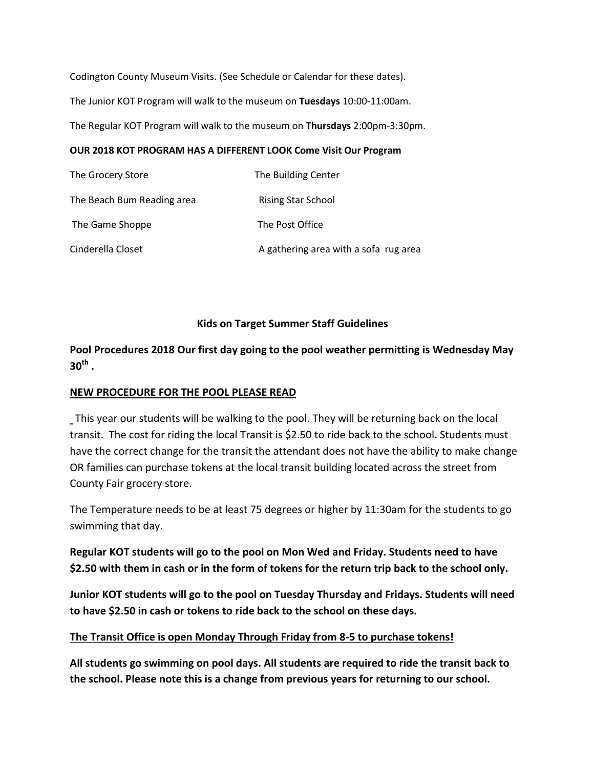Codington County Museum Visits. (See Schedule or Calendar for these dates). The Junior KOT Program will walk to the museum on **Tuesdays** 10:00-11:00am. The Regular KOT Program will walk to the museum on **Thursdays** 2:00pm-3:30pm.

## **OUR 2018 KOT PROGRAM HAS A DIFFERENT LOOK Come Visit Our Program**

| The Grocery Store          | The Building Center                   |
|----------------------------|---------------------------------------|
| The Beach Bum Reading area | <b>Rising Star School</b>             |
| The Game Shoppe            | The Post Office                       |
| Cinderella Closet          | A gathering area with a sofa rug area |

## **Kids on Target Summer Staff Guidelines**

**Pool Procedures 2018 Our first day going to the pool weather permitting is Wednesday May 30th .**

## **NEW PROCEDURE FOR THE POOL PLEASE READ**

This year our students will be walking to the pool. They will be returning back on the local transit. The cost for riding the local Transit is \$2.50 to ride back to the school. Students must have the correct change for the transit the attendant does not have the ability to make change OR families can purchase tokens at the local transit building located across the street from County Fair grocery store.

The Temperature needs to be at least 75 degrees or higher by 11:30am for the students to go swimming that day.

**Regular KOT students will go to the pool on Mon Wed and Friday. Students need to have \$2.50 with them in cash or in the form of tokens for the return trip back to the school only.** 

**Junior KOT students will go to the pool on Tuesday Thursday and Fridays. Students will need to have \$2.50 in cash or tokens to ride back to the school on these days.**

## **The Transit Office is open Monday Through Friday from 8-5 to purchase tokens!**

**All students go swimming on pool days. All students are required to ride the transit back to the school. Please note this is a change from previous years for returning to our school.**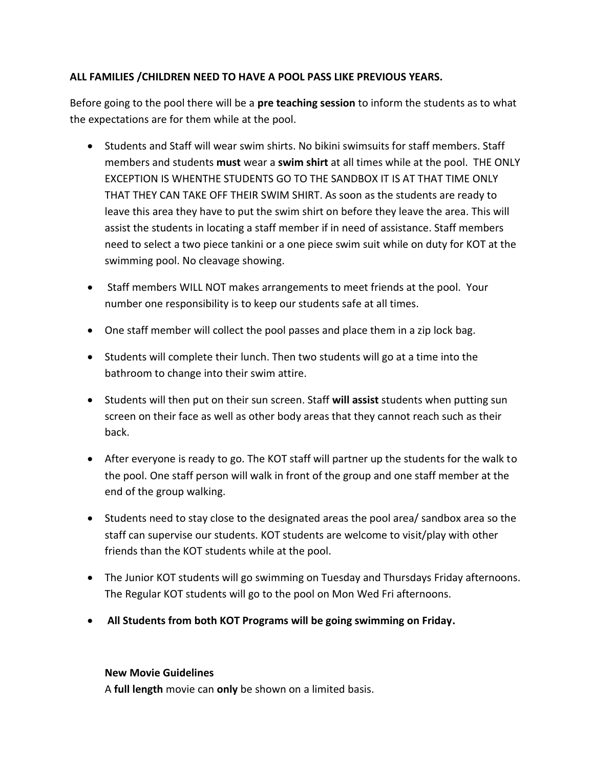# **ALL FAMILIES /CHILDREN NEED TO HAVE A POOL PASS LIKE PREVIOUS YEARS.**

Before going to the pool there will be a **pre teaching session** to inform the students as to what the expectations are for them while at the pool.

- Students and Staff will wear swim shirts. No bikini swimsuits for staff members. Staff members and students **must** wear a **swim shirt** at all times while at the pool. THE ONLY EXCEPTION IS WHENTHE STUDENTS GO TO THE SANDBOX IT IS AT THAT TIME ONLY THAT THEY CAN TAKE OFF THEIR SWIM SHIRT. As soon as the students are ready to leave this area they have to put the swim shirt on before they leave the area. This will assist the students in locating a staff member if in need of assistance. Staff members need to select a two piece tankini or a one piece swim suit while on duty for KOT at the swimming pool. No cleavage showing.
- Staff members WILL NOT makes arrangements to meet friends at the pool. Your number one responsibility is to keep our students safe at all times.
- One staff member will collect the pool passes and place them in a zip lock bag.
- Students will complete their lunch. Then two students will go at a time into the bathroom to change into their swim attire.
- Students will then put on their sun screen. Staff **will assist** students when putting sun screen on their face as well as other body areas that they cannot reach such as their back.
- After everyone is ready to go. The KOT staff will partner up the students for the walk to the pool. One staff person will walk in front of the group and one staff member at the end of the group walking.
- Students need to stay close to the designated areas the pool area/ sandbox area so the staff can supervise our students. KOT students are welcome to visit/play with other friends than the KOT students while at the pool.
- The Junior KOT students will go swimming on Tuesday and Thursdays Friday afternoons. The Regular KOT students will go to the pool on Mon Wed Fri afternoons.
- **All Students from both KOT Programs will be going swimming on Friday.**

## **New Movie Guidelines**

A **full length** movie can **only** be shown on a limited basis.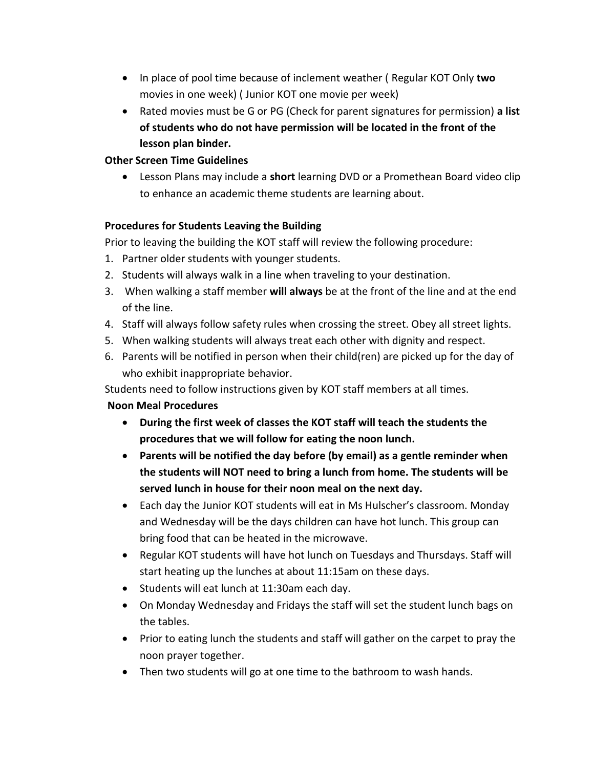- In place of pool time because of inclement weather ( Regular KOT Only **two** movies in one week) ( Junior KOT one movie per week)
- Rated movies must be G or PG (Check for parent signatures for permission) **a list of students who do not have permission will be located in the front of the lesson plan binder.**

## **Other Screen Time Guidelines**

 Lesson Plans may include a **short** learning DVD or a Promethean Board video clip to enhance an academic theme students are learning about.

## **Procedures for Students Leaving the Building**

Prior to leaving the building the KOT staff will review the following procedure:

- 1. Partner older students with younger students.
- 2. Students will always walk in a line when traveling to your destination.
- 3. When walking a staff member **will always** be at the front of the line and at the end of the line.
- 4. Staff will always follow safety rules when crossing the street. Obey all street lights.
- 5. When walking students will always treat each other with dignity and respect.
- 6. Parents will be notified in person when their child(ren) are picked up for the day of who exhibit inappropriate behavior.

Students need to follow instructions given by KOT staff members at all times.

## **Noon Meal Procedures**

- **During the first week of classes the KOT staff will teach the students the procedures that we will follow for eating the noon lunch.**
- **Parents will be notified the day before (by email) as a gentle reminder when the students will NOT need to bring a lunch from home. The students will be served lunch in house for their noon meal on the next day.**
- Each day the Junior KOT students will eat in Ms Hulscher's classroom. Monday and Wednesday will be the days children can have hot lunch. This group can bring food that can be heated in the microwave.
- Regular KOT students will have hot lunch on Tuesdays and Thursdays. Staff will start heating up the lunches at about 11:15am on these days.
- Students will eat lunch at 11:30am each day.
- On Monday Wednesday and Fridays the staff will set the student lunch bags on the tables.
- Prior to eating lunch the students and staff will gather on the carpet to pray the noon prayer together.
- Then two students will go at one time to the bathroom to wash hands.